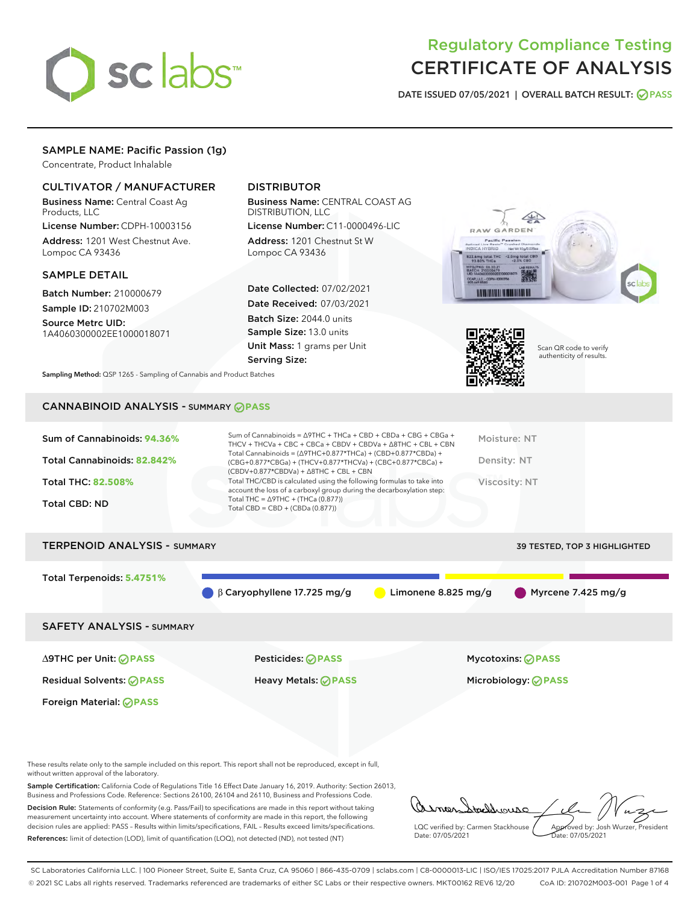

# Regulatory Compliance Testing CERTIFICATE OF ANALYSIS

DATE ISSUED 07/05/2021 | OVERALL BATCH RESULT: @ PASS

# SAMPLE NAME: Pacific Passion (1g)

Concentrate, Product Inhalable

# CULTIVATOR / MANUFACTURER

Business Name: Central Coast Ag Products, LLC

License Number: CDPH-10003156 Address: 1201 West Chestnut Ave. Lompoc CA 93436

#### SAMPLE DETAIL

Batch Number: 210000679 Sample ID: 210702M003

Source Metrc UID: 1A4060300002EE1000018071

# DISTRIBUTOR

Business Name: CENTRAL COAST AG DISTRIBUTION, LLC

License Number: C11-0000496-LIC Address: 1201 Chestnut St W Lompoc CA 93436

Date Collected: 07/02/2021 Date Received: 07/03/2021 Batch Size: 2044.0 units Sample Size: 13.0 units Unit Mass: 1 grams per Unit Serving Size:





Scan QR code to verify authenticity of results.

Sampling Method: QSP 1265 - Sampling of Cannabis and Product Batches

# CANNABINOID ANALYSIS - SUMMARY **PASS**

# TERPENOID ANALYSIS - SUMMARY 39 TESTED, TOP 3 HIGHLIGHTED

Total Terpenoids: **5.4751%**

β Caryophyllene 17.725 mg/g Limonene 8.825 mg/g Myrcene 7.425 mg/g

SAFETY ANALYSIS - SUMMARY

∆9THC per Unit: **PASS** Pesticides: **PASS** Mycotoxins: **PASS**

Foreign Material: **PASS**

Residual Solvents: **PASS** Heavy Metals: **PASS** Microbiology: **PASS**

These results relate only to the sample included on this report. This report shall not be reproduced, except in full, without written approval of the laboratory.

Sample Certification: California Code of Regulations Title 16 Effect Date January 16, 2019. Authority: Section 26013, Business and Professions Code. Reference: Sections 26100, 26104 and 26110, Business and Professions Code.

Decision Rule: Statements of conformity (e.g. Pass/Fail) to specifications are made in this report without taking measurement uncertainty into account. Where statements of conformity are made in this report, the following decision rules are applied: PASS – Results within limits/specifications, FAIL – Results exceed limits/specifications. References: limit of detection (LOD), limit of quantification (LOQ), not detected (ND), not tested (NT)

calibration LQC verified by: Carmen Stackhouse Approved by: Josh Wurzer, President Date: 07/05/2021 Date: 07/05/2021

SC Laboratories California LLC. | 100 Pioneer Street, Suite E, Santa Cruz, CA 95060 | 866-435-0709 | sclabs.com | C8-0000013-LIC | ISO/IES 17025:2017 PJLA Accreditation Number 87168 © 2021 SC Labs all rights reserved. Trademarks referenced are trademarks of either SC Labs or their respective owners. MKT00162 REV6 12/20 CoA ID: 210702M003-001 Page 1 of 4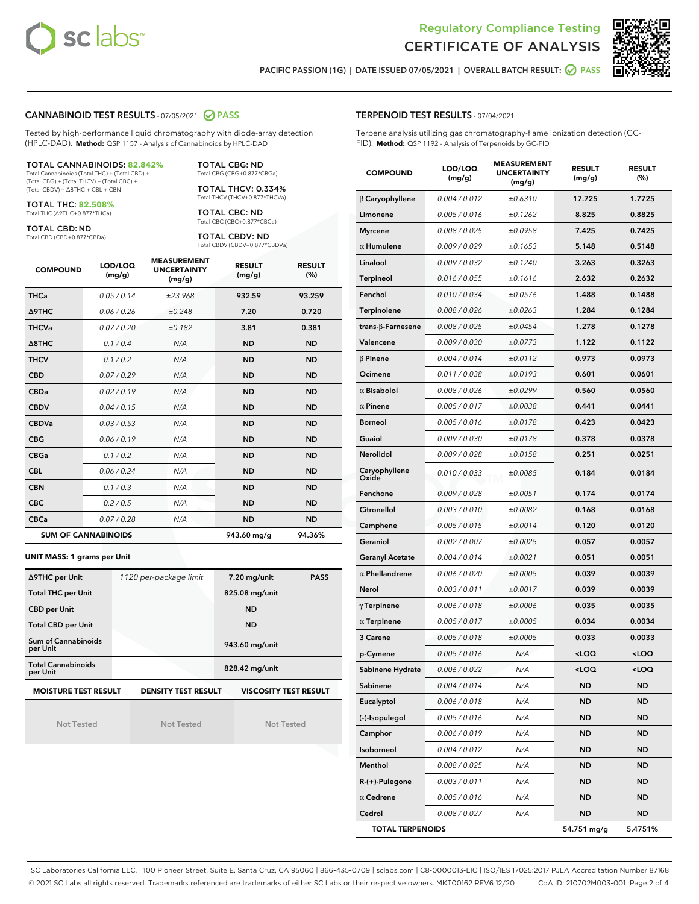



RESULT (%)

PACIFIC PASSION (1G) | DATE ISSUED 07/05/2021 | OVERALL BATCH RESULT:  $\bigcirc$  PASS

## CANNABINOID TEST RESULTS - 07/05/2021 2 PASS

Tested by high-performance liquid chromatography with diode-array detection (HPLC-DAD). **Method:** QSP 1157 - Analysis of Cannabinoids by HPLC-DAD

#### TOTAL CANNABINOIDS: **82.842%**

Total Cannabinoids (Total THC) + (Total CBD) + (Total CBG) + (Total THCV) + (Total CBC) + (Total CBDV) + ∆8THC + CBL + CBN

TOTAL THC: **82.508%** Total THC (∆9THC+0.877\*THCa)

TOTAL CBD: ND

Total CBD (CBD+0.877\*CBDa)

TOTAL CBG: ND Total CBG (CBG+0.877\*CBGa)

TOTAL THCV: 0.334% Total THCV (THCV+0.877\*THCVa)

TOTAL CBC: ND Total CBC (CBC+0.877\*CBCa)

TOTAL CBDV: ND Total CBDV (CBDV+0.877\*CBDVa)

| <b>COMPOUND</b>  | LOD/LOQ<br>(mg/g)          | <b>MEASUREMENT</b><br><b>UNCERTAINTY</b><br>(mg/g) | <b>RESULT</b><br>(mg/g) | <b>RESULT</b><br>(%) |
|------------------|----------------------------|----------------------------------------------------|-------------------------|----------------------|
| <b>THCa</b>      | 0.05/0.14                  | ±23.968                                            | 932.59                  | 93.259               |
| <b>A9THC</b>     | 0.06 / 0.26                | ±0.248                                             | 7.20                    | 0.720                |
| <b>THCVa</b>     | 0.07 / 0.20                | ±0.182                                             | 3.81                    | 0.381                |
| $\triangle$ 8THC | 0.1/0.4                    | N/A                                                | <b>ND</b>               | <b>ND</b>            |
| <b>THCV</b>      | 0.1/0.2                    | N/A                                                | <b>ND</b>               | <b>ND</b>            |
| <b>CBD</b>       | 0.07/0.29                  | N/A                                                | <b>ND</b>               | <b>ND</b>            |
| <b>CBDa</b>      | 0.02/0.19                  | N/A                                                | <b>ND</b>               | <b>ND</b>            |
| <b>CBDV</b>      | 0.04/0.15                  | N/A                                                | <b>ND</b>               | <b>ND</b>            |
| <b>CBDVa</b>     | 0.03/0.53                  | N/A                                                | <b>ND</b>               | <b>ND</b>            |
| <b>CBG</b>       | 0.06 / 0.19                | N/A                                                | <b>ND</b>               | <b>ND</b>            |
| <b>CBGa</b>      | 0.1 / 0.2                  | N/A                                                | <b>ND</b>               | <b>ND</b>            |
| <b>CBL</b>       | 0.06 / 0.24                | N/A                                                | <b>ND</b>               | <b>ND</b>            |
| <b>CBN</b>       | 0.1/0.3                    | N/A                                                | <b>ND</b>               | <b>ND</b>            |
| <b>CBC</b>       | 0.2 / 0.5                  | N/A                                                | <b>ND</b>               | <b>ND</b>            |
| <b>CBCa</b>      | 0.07 / 0.28                | N/A                                                | <b>ND</b>               | <b>ND</b>            |
|                  | <b>SUM OF CANNABINOIDS</b> |                                                    | 943.60 mg/g             | 94.36%               |

#### **UNIT MASS: 1 grams per Unit**

| ∆9THC per Unit                        | 1120 per-package limit     | 7.20 mg/unit<br><b>PASS</b>  |  |
|---------------------------------------|----------------------------|------------------------------|--|
| <b>Total THC per Unit</b>             |                            | 825.08 mg/unit               |  |
| <b>CBD per Unit</b>                   |                            | <b>ND</b>                    |  |
| <b>Total CBD per Unit</b>             |                            | <b>ND</b>                    |  |
| Sum of Cannabinoids<br>per Unit       |                            | 943.60 mg/unit               |  |
| <b>Total Cannabinoids</b><br>per Unit |                            | 828.42 mg/unit               |  |
| <b>MOISTURE TEST RESULT</b>           | <b>DENSITY TEST RESULT</b> | <b>VISCOSITY TEST RESULT</b> |  |

Not Tested

Not Tested

Not Tested

| <b>Myrcene</b>          | 0.008 / 0.025 | ±0.0958 | 7.425                                           | 0.7425              |
|-------------------------|---------------|---------|-------------------------------------------------|---------------------|
| $\alpha$ Humulene       | 0.009 / 0.029 | ±0.1653 | 5.148                                           | 0.5148              |
| Linalool                | 0.009 / 0.032 | ±0.1240 | 3.263                                           | 0.3263              |
| Terpineol               | 0.016 / 0.055 | ±0.1616 | 2.632                                           | 0.2632              |
| Fenchol                 | 0.010/0.034   | ±0.0576 | 1.488                                           | 0.1488              |
| Terpinolene             | 0.008 / 0.026 | ±0.0263 | 1.284                                           | 0.1284              |
| trans-β-Farnesene       | 0.008 / 0.025 | ±0.0454 | 1.278                                           | 0.1278              |
| Valencene               | 0.009 / 0.030 | ±0.0773 | 1.122                                           | 0.1122              |
| $\beta$ Pinene          | 0.004 / 0.014 | ±0.0112 | 0.973                                           | 0.0973              |
| Ocimene                 | 0.011 / 0.038 | ±0.0193 | 0.601                                           | 0.0601              |
| $\alpha$ Bisabolol      | 0.008 / 0.026 | ±0.0299 | 0.560                                           | 0.0560              |
| $\alpha$ Pinene         | 0.005 / 0.017 | ±0.0038 | 0.441                                           | 0.0441              |
| Borneol                 | 0.005 / 0.016 | ±0.0178 | 0.423                                           | 0.0423              |
| Guaiol                  | 0.009 / 0.030 | ±0.0178 | 0.378                                           | 0.0378              |
| Nerolidol               | 0.009 / 0.028 | ±0.0158 | 0.251                                           | 0.0251              |
| Caryophyllene<br>Oxide  | 0.010 / 0.033 | ±0.0085 | 0.184                                           | 0.0184              |
| Fenchone                | 0.009 / 0.028 | ±0.0051 | 0.174                                           | 0.0174              |
| Citronellol             | 0.003 / 0.010 | ±0.0082 | 0.168                                           | 0.0168              |
| Camphene                | 0.005 / 0.015 | ±0.0014 | 0.120                                           | 0.0120              |
| Geraniol                | 0.002 / 0.007 | ±0.0025 | 0.057                                           | 0.0057              |
| <b>Geranyl Acetate</b>  | 0.004 / 0.014 | ±0.0021 | 0.051                                           | 0.0051              |
| $\alpha$ Phellandrene   | 0.006 / 0.020 | ±0.0005 | 0.039                                           | 0.0039              |
| Nerol                   | 0.003 / 0.011 | ±0.0017 | 0.039                                           | 0.0039              |
| $\gamma$ Terpinene      | 0.006 / 0.018 | ±0.0006 | 0.035                                           | 0.0035              |
| $\alpha$ Terpinene      | 0.005 / 0.017 | ±0.0005 | 0.034                                           | 0.0034              |
| <b>3 Carene</b>         | 0.005 / 0.018 | ±0.0005 | 0.033                                           | 0.0033              |
| p-Cymene                | 0.005 / 0.016 | N/A     | <loq< th=""><th><loq< th=""></loq<></th></loq<> | <loq< th=""></loq<> |
| Sabinene Hydrate        | 0.006 / 0.022 | N/A     | <loq< th=""><th><loq< th=""></loq<></th></loq<> | <loq< th=""></loq<> |
| Sabinene                | 0.004 / 0.014 | N/A     | <b>ND</b>                                       | <b>ND</b>           |
| Eucalyptol              | 0.006 / 0.018 | N/A     | <b>ND</b>                                       | <b>ND</b>           |
| (-)-Isopulegol          | 0.005 / 0.016 | N/A     | <b>ND</b>                                       | <b>ND</b>           |
| Camphor                 | 0.006 / 0.019 | N/A     | ND                                              | ND                  |
| Isoborneol              | 0.004 / 0.012 | N/A     | ND                                              | ND                  |
| Menthol                 | 0.008 / 0.025 | N/A     | <b>ND</b>                                       | ND                  |
| R-(+)-Pulegone          | 0.003 / 0.011 | N/A     | ND                                              | ND                  |
| $\alpha$ Cedrene        | 0.005 / 0.016 | N/A     | <b>ND</b>                                       | ND                  |
| Cedrol                  | 0.008 / 0.027 | N/A     | <b>ND</b>                                       | ND                  |
| <b>TOTAL TERPENOIDS</b> |               |         | 54.751 mg/g                                     | 5.4751%             |

SC Laboratories California LLC. | 100 Pioneer Street, Suite E, Santa Cruz, CA 95060 | 866-435-0709 | sclabs.com | C8-0000013-LIC | ISO/IES 17025:2017 PJLA Accreditation Number 87168 © 2021 SC Labs all rights reserved. Trademarks referenced are trademarks of either SC Labs or their respective owners. MKT00162 REV6 12/20 CoA ID: 210702M003-001 Page 2 of 4

# TERPENOID TEST RESULTS - 07/04/2021

(mg/g)

COMPOUND LOD/LOQ

Terpene analysis utilizing gas chromatography-flame ionization detection (GC-FID). **Method:** QSP 1192 - Analysis of Terpenoids by GC-FID

β Caryophyllene 0.004 / 0.012 ± 0.6310 17.725 1.7725 Limonene 0.005/0.016 ±0.1262 8.825 0.8825

MEASUREMENT UNCERTAINTY (mg/g)

RESULT (mg/g)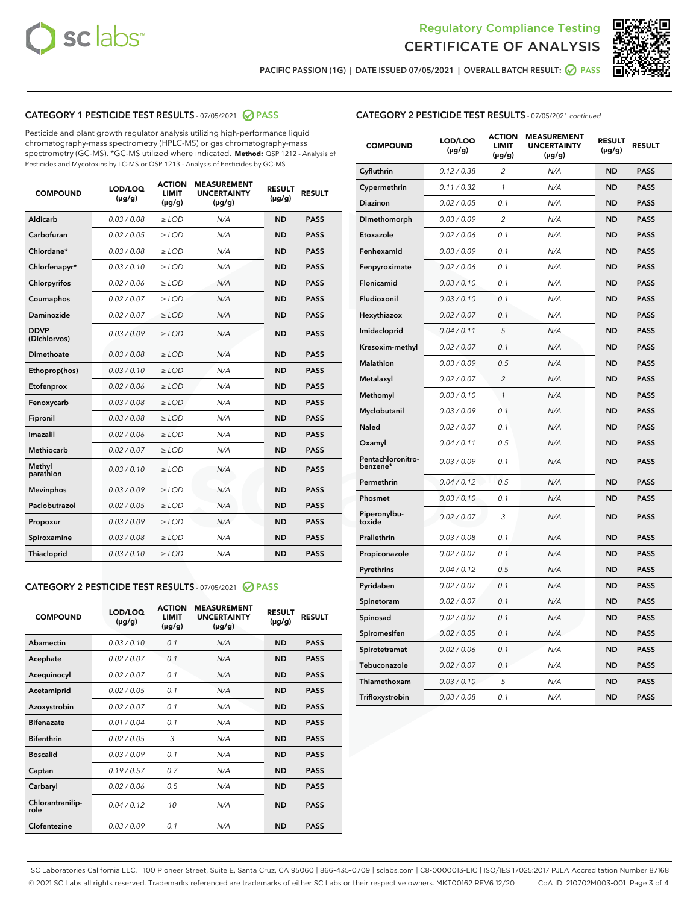



PACIFIC PASSION (1G) | DATE ISSUED 07/05/2021 | OVERALL BATCH RESULT: @ PASS

# CATEGORY 1 PESTICIDE TEST RESULTS - 07/05/2021 2 PASS

Pesticide and plant growth regulator analysis utilizing high-performance liquid chromatography-mass spectrometry (HPLC-MS) or gas chromatography-mass spectrometry (GC-MS). \*GC-MS utilized where indicated. **Method:** QSP 1212 - Analysis of Pesticides and Mycotoxins by LC-MS or QSP 1213 - Analysis of Pesticides by GC-MS

| <b>COMPOUND</b>             | LOD/LOQ<br>$(\mu g/g)$ | <b>ACTION</b><br><b>LIMIT</b><br>$(\mu g/g)$ | <b>MEASUREMENT</b><br><b>UNCERTAINTY</b><br>$(\mu g/g)$ | <b>RESULT</b><br>$(\mu g/g)$ | <b>RESULT</b> |
|-----------------------------|------------------------|----------------------------------------------|---------------------------------------------------------|------------------------------|---------------|
| Aldicarb                    | 0.03 / 0.08            | $\ge$ LOD                                    | N/A                                                     | <b>ND</b>                    | <b>PASS</b>   |
| Carbofuran                  | 0.02 / 0.05            | $\ge$ LOD                                    | N/A                                                     | <b>ND</b>                    | <b>PASS</b>   |
| Chlordane*                  | 0.03 / 0.08            | $\ge$ LOD                                    | N/A                                                     | <b>ND</b>                    | <b>PASS</b>   |
| Chlorfenapyr*               | 0.03/0.10              | $\ge$ LOD                                    | N/A                                                     | <b>ND</b>                    | <b>PASS</b>   |
| Chlorpyrifos                | 0.02 / 0.06            | $\ge$ LOD                                    | N/A                                                     | <b>ND</b>                    | <b>PASS</b>   |
| Coumaphos                   | 0.02 / 0.07            | $\ge$ LOD                                    | N/A                                                     | <b>ND</b>                    | <b>PASS</b>   |
| Daminozide                  | 0.02 / 0.07            | $\ge$ LOD                                    | N/A                                                     | <b>ND</b>                    | <b>PASS</b>   |
| <b>DDVP</b><br>(Dichlorvos) | 0.03/0.09              | $\ge$ LOD                                    | N/A                                                     | <b>ND</b>                    | <b>PASS</b>   |
| Dimethoate                  | 0.03 / 0.08            | $\ge$ LOD                                    | N/A                                                     | <b>ND</b>                    | <b>PASS</b>   |
| Ethoprop(hos)               | 0.03/0.10              | $\ge$ LOD                                    | N/A                                                     | <b>ND</b>                    | <b>PASS</b>   |
| Etofenprox                  | 0.02/0.06              | $>$ LOD                                      | N/A                                                     | <b>ND</b>                    | <b>PASS</b>   |
| Fenoxycarb                  | 0.03 / 0.08            | $>$ LOD                                      | N/A                                                     | <b>ND</b>                    | <b>PASS</b>   |
| Fipronil                    | 0.03 / 0.08            | $>$ LOD                                      | N/A                                                     | <b>ND</b>                    | <b>PASS</b>   |
| Imazalil                    | 0.02 / 0.06            | $\ge$ LOD                                    | N/A                                                     | <b>ND</b>                    | <b>PASS</b>   |
| <b>Methiocarb</b>           | 0.02 / 0.07            | $\ge$ LOD                                    | N/A                                                     | <b>ND</b>                    | <b>PASS</b>   |
| Methyl<br>parathion         | 0.03/0.10              | $\ge$ LOD                                    | N/A                                                     | <b>ND</b>                    | <b>PASS</b>   |
| <b>Mevinphos</b>            | 0.03/0.09              | $\ge$ LOD                                    | N/A                                                     | <b>ND</b>                    | <b>PASS</b>   |
| Paclobutrazol               | 0.02 / 0.05            | $\ge$ LOD                                    | N/A                                                     | <b>ND</b>                    | <b>PASS</b>   |
| Propoxur                    | 0.03/0.09              | $\ge$ LOD                                    | N/A                                                     | <b>ND</b>                    | <b>PASS</b>   |
| Spiroxamine                 | 0.03 / 0.08            | $\ge$ LOD                                    | N/A                                                     | <b>ND</b>                    | <b>PASS</b>   |
| Thiacloprid                 | 0.03/0.10              | $\ge$ LOD                                    | N/A                                                     | <b>ND</b>                    | <b>PASS</b>   |

## CATEGORY 2 PESTICIDE TEST RESULTS - 07/05/2021 @ PASS

| <b>COMPOUND</b>          | LOD/LOO<br>$(\mu g/g)$ | <b>ACTION</b><br>LIMIT<br>$(\mu g/g)$ | <b>MEASUREMENT</b><br><b>UNCERTAINTY</b><br>$(\mu g/g)$ | <b>RESULT</b><br>$(\mu g/g)$ | <b>RESULT</b> |
|--------------------------|------------------------|---------------------------------------|---------------------------------------------------------|------------------------------|---------------|
| Abamectin                | 0.03/0.10              | 0.1                                   | N/A                                                     | <b>ND</b>                    | <b>PASS</b>   |
| Acephate                 | 0.02/0.07              | 0.1                                   | N/A                                                     | <b>ND</b>                    | <b>PASS</b>   |
| Acequinocyl              | 0.02/0.07              | 0.1                                   | N/A                                                     | <b>ND</b>                    | <b>PASS</b>   |
| Acetamiprid              | 0.02/0.05              | 0.1                                   | N/A                                                     | <b>ND</b>                    | <b>PASS</b>   |
| Azoxystrobin             | 0.02/0.07              | 0.1                                   | N/A                                                     | <b>ND</b>                    | <b>PASS</b>   |
| <b>Bifenazate</b>        | 0.01/0.04              | 0.1                                   | N/A                                                     | <b>ND</b>                    | <b>PASS</b>   |
| <b>Bifenthrin</b>        | 0.02 / 0.05            | 3                                     | N/A                                                     | <b>ND</b>                    | <b>PASS</b>   |
| <b>Boscalid</b>          | 0.03/0.09              | 0.1                                   | N/A                                                     | <b>ND</b>                    | <b>PASS</b>   |
| Captan                   | 0.19/0.57              | 0.7                                   | N/A                                                     | <b>ND</b>                    | <b>PASS</b>   |
| Carbaryl                 | 0.02/0.06              | 0.5                                   | N/A                                                     | <b>ND</b>                    | <b>PASS</b>   |
| Chlorantranilip-<br>role | 0.04/0.12              | 10                                    | N/A                                                     | <b>ND</b>                    | <b>PASS</b>   |
| Clofentezine             | 0.03/0.09              | 0.1                                   | N/A                                                     | <b>ND</b>                    | <b>PASS</b>   |

# CATEGORY 2 PESTICIDE TEST RESULTS - 07/05/2021 continued

| <b>COMPOUND</b>               | LOD/LOQ<br>(µg/g) | <b>ACTION</b><br>LIMIT<br>$(\mu g/g)$ | <b>MEASUREMENT</b><br><b>UNCERTAINTY</b><br>(µg/g) | <b>RESULT</b><br>(µg/g) | <b>RESULT</b> |
|-------------------------------|-------------------|---------------------------------------|----------------------------------------------------|-------------------------|---------------|
| Cyfluthrin                    | 0.12 / 0.38       | 2                                     | N/A                                                | ND                      | <b>PASS</b>   |
| Cypermethrin                  | 0.11 / 0.32       | 1                                     | N/A                                                | ND                      | PASS          |
| Diazinon                      | 0.02 / 0.05       | 0.1                                   | N/A                                                | ND                      | PASS          |
| Dimethomorph                  | 0.03 / 0.09       | $\overline{2}$                        | N/A                                                | <b>ND</b>               | <b>PASS</b>   |
| Etoxazole                     | 0.02 / 0.06       | 0.1                                   | N/A                                                | ND                      | <b>PASS</b>   |
| Fenhexamid                    | 0.03 / 0.09       | 0.1                                   | N/A                                                | ND                      | <b>PASS</b>   |
| Fenpyroximate                 | 0.02 / 0.06       | 0.1                                   | N/A                                                | <b>ND</b>               | <b>PASS</b>   |
| Flonicamid                    | 0.03 / 0.10       | 0.1                                   | N/A                                                | <b>ND</b>               | <b>PASS</b>   |
| Fludioxonil                   | 0.03 / 0.10       | 0.1                                   | N/A                                                | <b>ND</b>               | <b>PASS</b>   |
| Hexythiazox                   | 0.02 / 0.07       | 0.1                                   | N/A                                                | <b>ND</b>               | PASS          |
| Imidacloprid                  | 0.04 / 0.11       | 5                                     | N/A                                                | <b>ND</b>               | <b>PASS</b>   |
| Kresoxim-methyl               | 0.02 / 0.07       | 0.1                                   | N/A                                                | ND                      | <b>PASS</b>   |
| Malathion                     | 0.03 / 0.09       | 0.5                                   | N/A                                                | <b>ND</b>               | <b>PASS</b>   |
| Metalaxyl                     | 0.02 / 0.07       | $\overline{c}$                        | N/A                                                | <b>ND</b>               | <b>PASS</b>   |
| Methomyl                      | 0.03 / 0.10       | 1                                     | N/A                                                | ND                      | <b>PASS</b>   |
| Myclobutanil                  | 0.03/0.09         | 0.1                                   | N/A                                                | <b>ND</b>               | <b>PASS</b>   |
| Naled                         | 0.02 / 0.07       | 0.1                                   | N/A                                                | ND                      | <b>PASS</b>   |
| Oxamyl                        | 0.04 / 0.11       | 0.5                                   | N/A                                                | ND                      | <b>PASS</b>   |
| Pentachloronitro-<br>benzene* | 0.03 / 0.09       | 0.1                                   | N/A                                                | ND                      | <b>PASS</b>   |
| Permethrin                    | 0.04/0.12         | 0.5                                   | N/A                                                | <b>ND</b>               | <b>PASS</b>   |
| Phosmet                       | 0.03 / 0.10       | 0.1                                   | N/A                                                | ND                      | PASS          |
| Piperonylbu-<br>toxide        | 0.02 / 0.07       | 3                                     | N/A                                                | <b>ND</b>               | <b>PASS</b>   |
| Prallethrin                   | 0.03 / 0.08       | 0.1                                   | N/A                                                | <b>ND</b>               | <b>PASS</b>   |
| Propiconazole                 | 0.02 / 0.07       | 0.1                                   | N/A                                                | ND                      | <b>PASS</b>   |
| Pyrethrins                    | 0.04 / 0.12       | 0.5                                   | N/A                                                | ND                      | PASS          |
| Pyridaben                     | 0.02 / 0.07       | 0.1                                   | N/A                                                | <b>ND</b>               | <b>PASS</b>   |
| Spinetoram                    | 0.02 / 0.07       | 0.1                                   | N/A                                                | ND                      | <b>PASS</b>   |
| Spinosad                      | 0.02 / 0.07       | 0.1                                   | N/A                                                | ND                      | PASS          |
| Spiromesifen                  | 0.02 / 0.05       | 0.1                                   | N/A                                                | <b>ND</b>               | <b>PASS</b>   |
| Spirotetramat                 | 0.02 / 0.06       | 0.1                                   | N/A                                                | ND                      | <b>PASS</b>   |
| Tebuconazole                  | 0.02 / 0.07       | 0.1                                   | N/A                                                | ND                      | <b>PASS</b>   |
| Thiamethoxam                  | 0.03 / 0.10       | 5                                     | N/A                                                | <b>ND</b>               | <b>PASS</b>   |
| Trifloxystrobin               | 0.03 / 0.08       | 0.1                                   | N/A                                                | <b>ND</b>               | <b>PASS</b>   |

SC Laboratories California LLC. | 100 Pioneer Street, Suite E, Santa Cruz, CA 95060 | 866-435-0709 | sclabs.com | C8-0000013-LIC | ISO/IES 17025:2017 PJLA Accreditation Number 87168 © 2021 SC Labs all rights reserved. Trademarks referenced are trademarks of either SC Labs or their respective owners. MKT00162 REV6 12/20 CoA ID: 210702M003-001 Page 3 of 4